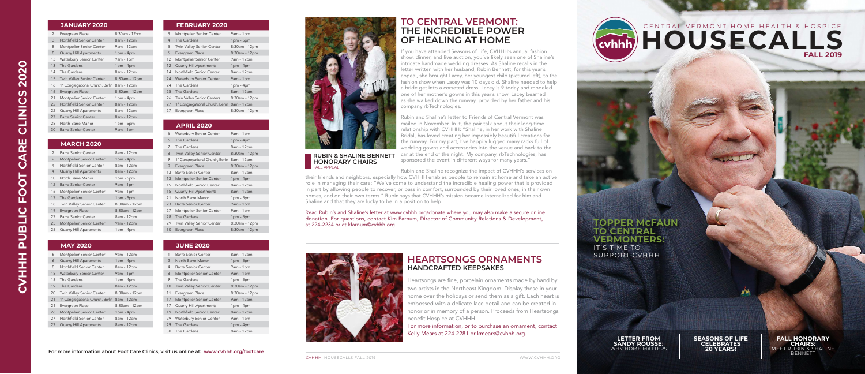If you have attended Seasons of Life, CVHHH's annual fashion show, dinner, and live auction, you've likely seen one of Shaline's intricate handmade wedding dresses. As Shaline recalls in the letter written with her husband, Rubin Bennett, for this year's appeal, she brought Lacey, her youngest child (pictured left), to the fashion show when Lacey was 10 days old. Shaline needed to help a bride get into a corseted dress. Lacey is 9 today and modeled one of her mother's gowns in this year's show. Lacey beamed as she walked down the runway, provided by her father and his company rbTechnologies. Rubin and Shaline's letter to Friends of Central Vermont was mailed in November. In it, the pair talk about their long-time relationship with CVHHH: "Shaline, in her work with Shaline

Bridal, has loved creating her impossibly beautiful creations for the runway. For my part, I've happily lugged many racks full of wedding gowns and accessories into the venue and back to the car at the end of the night. My company, rbTechnologies, has sponsored the event in different ways for many years."

# CENTRAL VERMONT HOME HEALTH & HOSPICE **FALL 2019**

#### **FALL HONORARY CHAIRS:**  MEET RUBIN & SHALINE **BENNETT**



Rubin and Shaline recognize the impact of CVHHH's services on their friends and neighbors, especially how CVHHH enables people to remain at home and take an active role in managing their care: "We've come to understand the incredible healing power that is provided in part by allowing people to recover, or pass in comfort, surrounded by their loved ones, in their own homes, and on their own terms." Rubin says that CVHHH's mission became internalized for him and Shaline and that they are lucky to be in a position to help.

Read Rubin's and Shaline's letter at www.cvhhh.org/donate where you may also make a secure online donation. For questions, contact Kim Farnum, Director of Community Relations & Development, at 224-2234 or at kfarnum@cvhhh.org.



# **TOPPER McFAUN TO CENTRAL VERMONTERS:** IT'S TIME TO SUPPORT CVHHH

**LETTER FROM SANDY ROUSSE:**  WHY HOME MATTERS **SEASONS OF LIFE CELEBRATES 20 YEARS!**

#### **For more information about Foot Care Clinics, visit us online at: www.cvhhh.org/footcare**



#### **JANUARY 2020**

| 2  | Evergreen Place                               | 8:30am - 12pm |
|----|-----------------------------------------------|---------------|
| 3  | Northfield Senior Center                      | 8am - 12pm    |
| 8  | Montpelier Senior Center                      | 9am - 12pm    |
| 8  | <b>Quarry Hill Apartments</b>                 | $1pm - 4pm$   |
| 13 | <b>Waterbury Senior Center</b>                | $9am - 1pm$   |
| 13 | The Gardens                                   | $1pm - 4pm$   |
| 14 | The Gardens                                   | 8am - 12pm    |
| 15 | <b>Twin Valley Senior Center</b>              | 8:30am - 12pm |
| 16 | 1 <sup>st</sup> Congregational Church, Berlin | 8am - 12pm    |
| 16 | Evergreen Place                               | 8:30am - 12pm |
| 21 |                                               |               |
|    | Montpelier Senior Center                      | $1pm - 4pm$   |
| 22 | Northfield Senior Center                      | 8am - 12pm    |
| 22 | Quarry Hill Apartments                        | 8am - 12pm    |
| 27 | <b>Barre Senior Center</b>                    | 8am - 12pm    |
| 28 | North Barre Manor                             | 1pm - 5pm     |

## **APRIL 2020**

| 6  | <b>Waterbury Senior Center</b>                | $9am - 1pm$   |
|----|-----------------------------------------------|---------------|
| 6  | The Gardens                                   | $1pm - 4pm$   |
| 7  | The Gardens                                   | 8am - 12pm    |
| 8  | Twin Valley Senior Center                     | 8:30am - 12pm |
| 9  | 1 <sup>st</sup> Congregational Church, Berlin | 8am - 12pm    |
| 9  | Evergreen Place                               | 8:30am - 12pm |
| 13 | <b>Barre Senior Center</b>                    | 8am - 12pm    |
| 13 | Montpelier Senior Center                      | $1pm - 4pm$   |
| 15 | Northfield Senior Center                      | 8am - 12pm    |
| 15 | <b>Quarry Hill Apartments</b>                 | 8am - 12pm    |
| 21 | North Barre Manor                             | $1pm - 5pm$   |
| 23 | <b>Barre Senior Center</b>                    | $9am - 1pm$   |
| 27 | Montpelier Senior Center                      | $9am - 1pm$   |
| 28 | The Gardens                                   | $1pm - 5pm$   |
| 29 | Twin Valley Senior Center                     | 8:30am - 12pm |
| 30 | Evergreen Place                               | 8:30am - 12pm |

#### **MAY 2020**

| 6  | Montpelier Senior Center                      | 9am - 12pm    |
|----|-----------------------------------------------|---------------|
| 6  | <b>Quarry Hill Apartments</b>                 | $1pm - 4pm$   |
| 8  | Northfield Senior Center                      | 8am - 12pm    |
| 18 | <b>Waterbury Senior Center</b>                | $9am - 1pm$   |
| 18 | The Gardens                                   | $1pm - 4pm$   |
| 19 | The Gardens                                   | 8am - 12pm    |
| 20 | Twin Valley Senior Center                     | 8:30am - 12pm |
| 21 | 1 <sup>st</sup> Congregational Church, Berlin | 8am - 12pm    |
| 21 | Evergreen Place                               | 8:30am - 12pm |
| 26 | Montpelier Senior Center                      | $1pm - 4pm$   |
| 27 | Northfield Senior Center                      | 8am - 12pm    |
| 27 | <b>Quarry Hill Apartments</b>                 | 8am - 12pm    |

#### **JUNE 2020**

| 1  | Barre Senior Center              | 8am - 12pm    |
|----|----------------------------------|---------------|
| 2  | North Barre Manor                | $1pm - 5pm$   |
| 4  | Barre Senior Center              | 9am - 1pm     |
| 8  | Montpelier Senior Center         | $9am - 1pm$   |
| 9  | The Gardens                      | $1pm - 5pm$   |
| 10 | <b>Twin Valley Senior Center</b> | 8:30am - 12pm |
| 11 | Evergreen Place                  | 8:30am - 12pm |
| 17 | Montpelier Senior Center         | 9am - 12pm    |
| 17 | Quarry Hill Apartments           | $1pm - 4pm$   |
| 19 | Northfield Senior Center         | 8am - 12pm    |
| 29 | Waterbury Senior Center          | $9am - 1pm$   |
| 29 | The Gardens                      | $1pm - 4pm$   |
| 30 | The Gardens                      | 8am - 12pm    |

### **FEBRUARY 2020**

| 3              | Montpelier Senior Center                      | $9am - 1pm$   |
|----------------|-----------------------------------------------|---------------|
| $\overline{4}$ | The Gardens                                   | $1pm - 5pm$   |
| 5              | Twin Valley Senior Center                     | 8:30am - 12pm |
| 6              | Evergreen Place                               | 8:30am - 12pm |
| 12             | Montpelier Senior Center                      | 9am - 12pm    |
| 12             | <b>Quarry Hill Apartments</b>                 | $1pm - 4pm$   |
| 14             | Northfield Senior Center                      | 8am - 12pm    |
| 24             | Waterbury Senior Center                       | $9am - 1pm$   |
| 24             | The Gardens                                   | $1pm - 4pm$   |
| 25             | The Gardens                                   | 8am - 12pm    |
| 26             | <b>Twin Valley Senior Centers</b>             | 8:30am - 12pm |
| 27             | 1 <sup>st</sup> Congregational Church, Berlin | 8am - 12pm    |
| 27             | Evergreen Place                               | 8:30am - 12pm |

## **MARCH 2020**

| $\mathfrak{D}$ | <b>Barre Senior Center</b>       | 8am - 12pm    |
|----------------|----------------------------------|---------------|
| 2              | Montpelier Senior Center         | $1pm - 4pm$   |
| 4              | Northfield Senior Center         | 8am - 12pm    |
| 4              | <b>Quarry Hill Apartments</b>    | 8am - 12pm    |
| 10             | North Barre Manor                | $1pm - 5pm$   |
| 12             | <b>Barre Senior Center</b>       | $9am - 1pm$   |
| 16             | Montpelier Senior Center         | 9am - 1pm     |
| 17             | The Gardens                      | $1pm - 5pm$   |
| 18             | <b>Twin Valley Senior Center</b> | 8:30am - 12pm |
| 19             | Evergreen Place                  | 8:30am - 12pm |
| 27             | <b>Barre Senior Center</b>       | 8am - 12pm    |
| 25             | Montpelier Senior Center         | 9am - 12pm    |
| 25             | Quarry Hill Apartments           | $1pm - 4pm$   |
|                |                                  |               |

# **THE INCREDIBLE POWER OF HEALING AT HOME TO CENTRAL VERMONT:**

#### **RUBIN & SHALINE BENNETT HONORARY CHAIRS**  FALL APPEAL

Heartsongs are fine, porcelain ornaments made by hand by two artists in the Northeast Kingdom. Display these in your home over the holidays or send them as a gift. Each heart is embossed with a delicate lace detail and can be created in honor or in memory of a person. Proceeds from Heartsongs benefit Hospice at CVHHH. For more information, or to purchase an ornament, contact Kelly Mears at 224-2281 or kmears@cvhhh.org.

# **HEARTSONGS ORNAMENTS HANDCRAFTED KEEPSAKES**